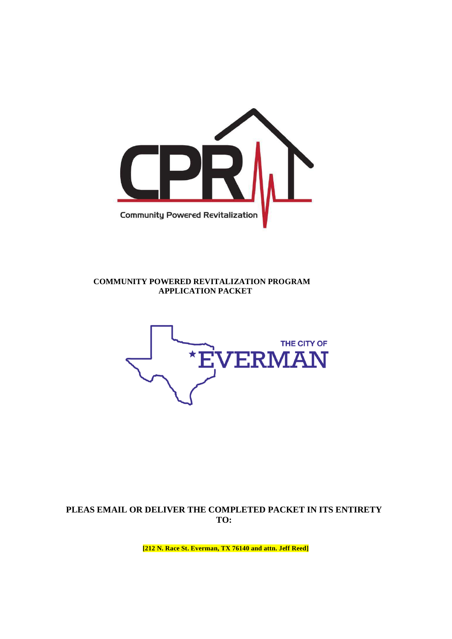

## **COMMUNITY POWERED REVITALIZATION PROGRAM APPLICATION PACKET**



# **PLEAS EMAIL OR DELIVER THE COMPLETED PACKET IN ITS ENTIRETY TO:**

**[212 N. Race St. Everman, TX 76140 and attn. Jeff Reed]**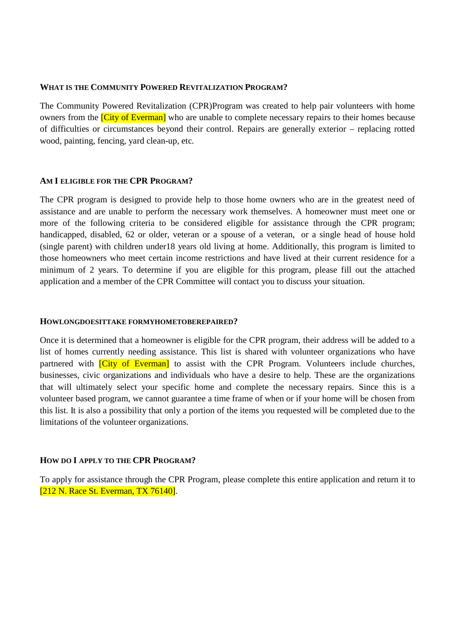### **WHAT IS THE COMMUNITY POWERED REVITALIZATION PROGRAM?**

The Community Powered Revitalization (CPR)Program was created to help pair volunteers with home owners from the *[City of Everman]* who are unable to complete necessary repairs to their homes because of difficulties or circumstances beyond their control. Repairs are generally exterior – replacing rotted wood, painting, fencing, yard clean-up, etc.

### **AM I ELIGIBLE FOR THE CPR PROGRAM?**

The CPR program is designed to provide help to those home owners who are in the greatest need of assistance and are unable to perform the necessary work themselves. A homeowner must meet one or more of the following criteria to be considered eligible for assistance through the CPR program; handicapped, disabled, 62 or older, veteran or a spouse of a veteran, or a single head of house hold (single parent) with children under18 years old living at home. Additionally, this program is limited to those homeowners who meet certain income restrictions and have lived at their current residence for a minimum of 2 years. To determine if you are eligible for this program, please fill out the attached application and a member of the CPR Committee will contact you to discuss your situation.

### **HOWLONGDOESITTAKE FORMYHOMETOBEREPAIRED?**

Once it is determined that a homeowner is eligible for the CPR program, their address will be added to a list of homes currently needing assistance. This list is shared with volunteer organizations who have partnered with *City of Everman* to assist with the CPR Program. Volunteers include churches, businesses, civic organizations and individuals who have a desire to help. These are the organizations that will ultimately select your specific home and complete the necessary repairs. Since this is a volunteer based program, we cannot guarantee a time frame of when or if your home will be chosen from this list. It is also a possibility that only a portion of the items you requested will be completed due to the limitations of the volunteer organizations.

## **HOW DO I APPLY TO THE CPR PROGRAM?**

To apply for assistance through the CPR Program, please complete this entire application and return it to [212 N. Race St. Everman, TX 76140].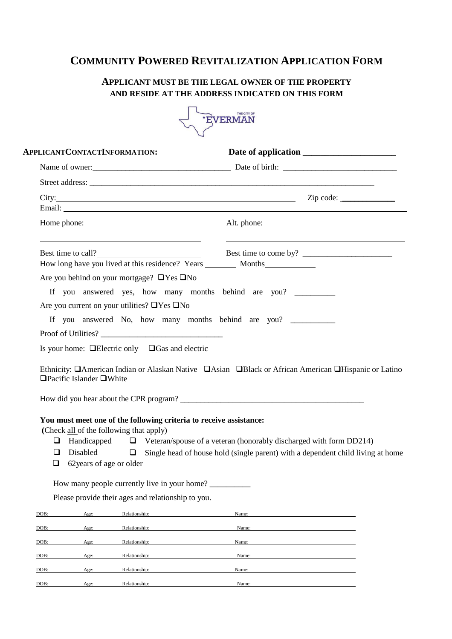# **COMMUNITY POWERED REVITALIZATION APPLICATION FORM**

# **APPLICANT MUST BE THE LEGAL OWNER OF THE PROPERTY AND RESIDE AT THE ADDRESS INDICATED ON THIS FORM**



|                  | APPLICANTCONTACTINFORMATION:                                        |               |                                                                                   |                                                                                                                                                                                                                                                                |  |  |
|------------------|---------------------------------------------------------------------|---------------|-----------------------------------------------------------------------------------|----------------------------------------------------------------------------------------------------------------------------------------------------------------------------------------------------------------------------------------------------------------|--|--|
|                  |                                                                     |               |                                                                                   | Name of owner:<br><u>Name of owner:</u>                                                                                                                                                                                                                        |  |  |
|                  |                                                                     |               |                                                                                   |                                                                                                                                                                                                                                                                |  |  |
|                  |                                                                     |               |                                                                                   |                                                                                                                                                                                                                                                                |  |  |
| Home phone:      |                                                                     |               |                                                                                   | Alt. phone:                                                                                                                                                                                                                                                    |  |  |
|                  |                                                                     |               | Best time to call?                                                                |                                                                                                                                                                                                                                                                |  |  |
|                  |                                                                     |               |                                                                                   |                                                                                                                                                                                                                                                                |  |  |
|                  | Are you behind on your mortgage? $\Box$ Yes $\Box$ No               |               |                                                                                   |                                                                                                                                                                                                                                                                |  |  |
|                  |                                                                     |               |                                                                                   | If you answered yes, how many months behind are you?                                                                                                                                                                                                           |  |  |
|                  | Are you current on your utilities? $\Box$ Yes $\Box$ No             |               |                                                                                   |                                                                                                                                                                                                                                                                |  |  |
|                  |                                                                     |               |                                                                                   | If you answered No, how many months behind are you?                                                                                                                                                                                                            |  |  |
|                  |                                                                     |               |                                                                                   |                                                                                                                                                                                                                                                                |  |  |
|                  |                                                                     |               | Proof of Utilities?<br>Is your home: $\Box$ Electric only $\Box$ Gas and electric | Ethnicity: <b>QAmerican Indian or Alaskan Native QAsian QBlack or African American QHispanic or Latino</b>                                                                                                                                                     |  |  |
|                  | $\Box$ Pacific Islander $\Box$ White                                |               |                                                                                   |                                                                                                                                                                                                                                                                |  |  |
| $\Box$<br>⊔<br>□ | (Check all of the following that apply)<br>62 years of age or older |               |                                                                                   | You must meet one of the following criteria to receive assistance:<br>Handicapped $\Box$ Veteran/spouse of a veteran (honorably discharged with form DD214)<br>Disabled $\Box$ Single head of house hold (single parent) with a dependent child living at home |  |  |
|                  |                                                                     |               | How many people currently live in your home?                                      |                                                                                                                                                                                                                                                                |  |  |
|                  |                                                                     |               | Please provide their ages and relationship to you.                                |                                                                                                                                                                                                                                                                |  |  |
| DOB:             | Age:                                                                | Relationship: |                                                                                   | Name:                                                                                                                                                                                                                                                          |  |  |
| DOB:             | Age:                                                                | Relationship: |                                                                                   | Name:                                                                                                                                                                                                                                                          |  |  |
| DOB:             | Age:                                                                | Relationship: |                                                                                   | Name:                                                                                                                                                                                                                                                          |  |  |
| DOB:             | Age:                                                                | Relationship: |                                                                                   | Name:                                                                                                                                                                                                                                                          |  |  |
| DOB:             | Age:                                                                | Relationship: |                                                                                   | Name:                                                                                                                                                                                                                                                          |  |  |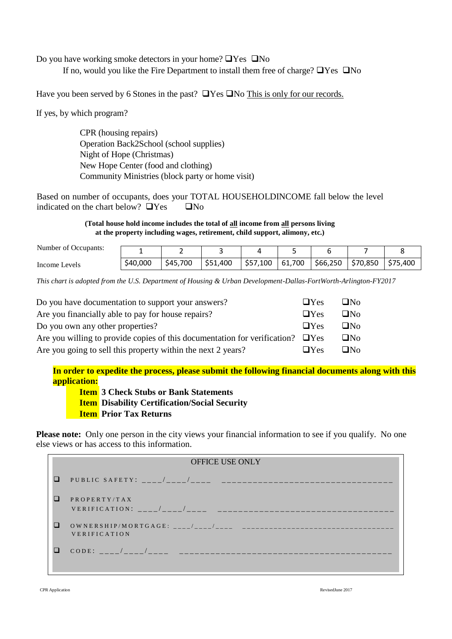Do you have working smoke detectors in your home?  $\Box$  Yes  $\Box$  No

If no, would you like the Fire Department to install them free of charge?  $\Box$  Yes  $\Box$  No

Have you been served by 6 Stones in the past?  $\Box$  Yes  $\Box$  No This is only for our records.

If yes, by which program?

CPR (housing repairs) Operation Back2School (school supplies) Night of Hope (Christmas) New Hope Center (food and clothing) Community Ministries (block party or home visit)

Based on number of occupants, does your TOTAL HOUSEHOLDINCOME fall below the level indicated on the chart below?  $\Box$  Yes  $\Box$  No

> **(Total house hold income includes the total of all income from all persons living at the property including wages, retirement, child support, alimony, etc.)**

| Number of Occupants: |          |          |          |          |        |          |          |          |
|----------------------|----------|----------|----------|----------|--------|----------|----------|----------|
| Income Levels        | \$40,000 | \$45,700 | \$51,400 | \$57,100 | 61,700 | \$66,250 | \$70,850 | \$75,400 |

*This chart is adopted from the U.S. Department of Housing & Urban Development-Dallas-FortWorth-Arlington-FY2017*

| Do you have documentation to support your answers?                                   | $\Box$ Yes | $\Box$ No |
|--------------------------------------------------------------------------------------|------------|-----------|
| Are you financially able to pay for house repairs?                                   | $\Box$ Yes | $\Box$ No |
| Do you own any other properties?                                                     | $\Box$ Yes | $\Box$ No |
| Are you willing to provide copies of this documentation for verification? $\Box$ Yes |            | $\Box$ No |
| Are you going to sell this property within the next 2 years?                         | $\Box$ Yes | $\Box$ No |

**In order to expedite the process, please submit the following financial documents along with this application:** 

**Item 3 Check Stubs or Bank Statements Item Disability Certification/Social Security Item Prior Tax Returns** 

**Please note:** Only one person in the city views your financial information to see if you qualify. No one else views or has access to this information.

|        | <b>OFFICE USE ONLY</b> |
|--------|------------------------|
| ப      |                        |
|        | PROPERTY/TAX           |
| O      | <b>VERIFICATION</b>    |
| $\Box$ |                        |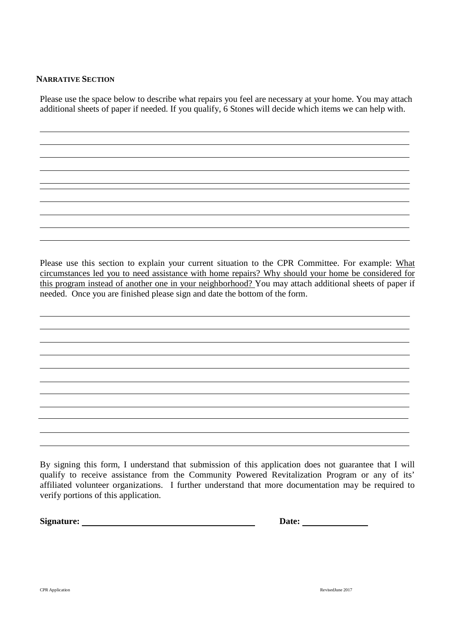## **NARRATIVE SECTION**

Please use the space below to describe what repairs you feel are necessary at your home. You may attach additional sheets of paper if needed. If you qualify, 6 Stones will decide which items we can help with.

Please use this section to explain your current situation to the CPR Committee. For example: What circumstances led you to need assistance with home repairs? Why should your home be considered for this program instead of another one in your neighborhood? You may attach additional sheets of paper if needed. Once you are finished please sign and date the bottom of the form.

By signing this form, I understand that submission of this application does not guarantee that I will qualify to receive assistance from the Community Powered Revitalization Program or any of its' affiliated volunteer organizations. I further understand that more documentation may be required to verify portions of this application.

**Signature:** Date: **Date: Date: Date: Date: Date: Date: Date: Date: Date: Date: Date: Date: Date: Date: Date: Date: Date: Date: Date: Date: Date: Date: Date: Date: Date: Da**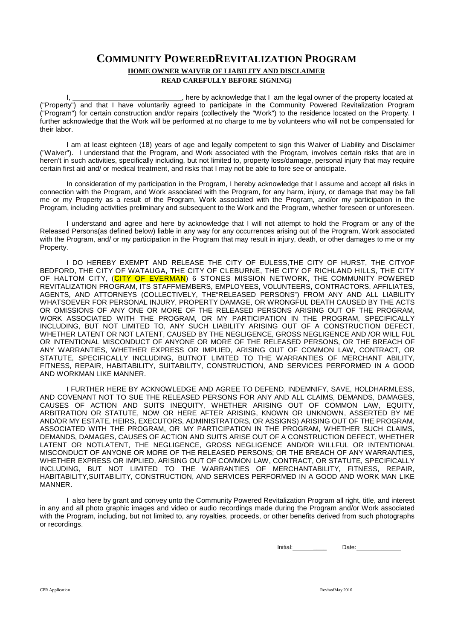# **COMMUNITY POWEREDREVITALIZATION PROGRAM HOME OWNER WAIVER OF LIABILITY AND DISCLAIMER READ CAREFULLY BEFORE SIGNING)**

I, there by acknowledge that I am the legal owner of the property located at ("Property") and that I have voluntarily agreed to participate in the Community Powered Revitalization Program ("Program") for certain construction and/or repairs (collectively the "Work") to the residence located on the Property. I further acknowledge that the Work will be performed at no charge to me by volunteers who will not be compensated for their labor.

I am at least eighteen (18) years of age and legally competent to sign this Waiver of Liability and Disclaimer ("Waiver"). I understand that the Program, and Work associated with the Program, involves certain risks that are in heren't in such activities, specifically including, but not limited to, property loss/damage, personal injury that may require certain first aid and/ or medical treatment, and risks that I may not be able to fore see or anticipate.

In consideration of my participation in the Program, I hereby acknowledge that I assume and accept all risks in connection with the Program, and Work associated with the Program, for any harm, injury, or damage that may be fall me or my Property as a result of the Program, Work associated with the Program, and/or my participation in the Program, including activities preliminary and subsequent to the Work and the Program, whether foreseen or unforeseen.

I understand and agree and here by acknowledge that I will not attempt to hold the Program or any of the Released Persons(as defined below) liable in any way for any occurrences arising out of the Program, Work associated with the Program, and/ or my participation in the Program that may result in injury, death, or other damages to me or my Property.

I DO HEREBY EXEMPT AND RELEASE THE CITY OF EULESS,THE CITY OF HURST, THE CITYOF BEDFORD, THE CITY OF WATAUGA, THE CITY OF CLEBURNE, THE CITY OF RICHLAND HILLS, THE CITY OF HALTOM CITY, (CITY OF EVERMAN) 6 STONES MISSION NETWORK, THE COMMUNITY POWERED REVITALIZATION PROGRAM, ITS STAFFMEMBERS, EMPLOYEES, VOLUNTEERS, CONTRACTORS, AFFILIATES, AGENTS, AND ATTORNEYS (COLLECTIVELY, THE"RELEASED PERSONS") FROM ANY AND ALL LIABILITY WHATSOEVER FOR PERSONAL INJURY, PROPERTY DAMAGE, OR WRONGFUL DEATH CAUSED BY THE ACTS OR OMISSIONS OF ANY ONE OR MORE OF THE RELEASED PERSONS ARISING OUT OF THE PROGRAM, WORK ASSOCIATED WITH THE PROGRAM, OR MY PARTICIPATION IN THE PROGRAM, SPECIFICALLY INCLUDING, BUT NOT LIMITED TO, ANY SUCH LIABILITY ARISING OUT OF A CONSTRUCTION DEFECT, WHETHER LATENT OR NOT LATENT, CAUSED BY THE NEGLIGENCE, GROSS NEGLIGENCE AND /OR WILL FUL OR INTENTIONAL MISCONDUCT OF ANYONE OR MORE OF THE RELEASED PERSONS, OR THE BREACH OF ANY WARRANTIES, WHETHER EXPRESS OR IMPLIED, ARISING OUT OF COMMON LAW, CONTRACT, OR STATUTE, SPECIFICALLY INCLUDING, BUTNOT LIMITED TO THE WARRANTIES OF MERCHANT ABILITY, FITNESS, REPAIR, HABITABILITY, SUITABILITY, CONSTRUCTION, AND SERVICES PERFORMED IN A GOOD AND WORKMAN LIKE MANNER.

I FURTHER HERE BY ACKNOWLEDGE AND AGREE TO DEFEND, INDEMNIFY, SAVE, HOLDHARMLESS, AND COVENANT NOT TO SUE THE RELEASED PERSONS FOR ANY AND ALL CLAIMS, DEMANDS, DAMAGES, CAUSES OF ACTION AND SUITS INEQUITY, WHETHER ARISING OUT OF COMMON LAW, EQUITY, ARBITRATION OR STATUTE, NOW OR HERE AFTER ARISING, KNOWN OR UNKNOWN, ASSERTED BY ME AND/OR MY ESTATE, HEIRS, EXECUTORS, ADMINISTRATORS, OR ASSIGNS) ARISING OUT OF THE PROGRAM, ASSOCIATED WITH THE PROGRAM, OR MY PARTICIPATION IN THE PROGRAM, WHETHER SUCH CLAIMS, DEMANDS, DAMAGES, CAUSES OF ACTION AND SUITS ARISE OUT OF A CONSTRUCTION DEFECT, WHETHER LATENT OR NOTLATENT, THE NEGLIGENCE, GROSS NEGLIGENCE AND/OR WILLFUL OR INTENTIONAL MISCONDUCT OF ANYONE OR MORE OF THE RELEASED PERSONS; OR THE BREACH OF ANY WARRANTIES, WHETHER EXPRESS OR IMPLIED, ARISING OUT OF COMMON LAW, CONTRACT, OR STATUTE, SPECIFICALLY INCLUDING, BUT NOT LIMITED TO THE WARRANTIES OF MERCHANTABILITY, FITNESS, REPAIR, HABITABILITY,SUITABILITY, CONSTRUCTION, AND SERVICES PERFORMED IN A GOOD AND WORK MAN LIKE MANNER.

I also here by grant and convey unto the Community Powered Revitalization Program all right, title, and interest in any and all photo graphic images and video or audio recordings made during the Program and/or Work associated with the Program, including, but not limited to, any royalties, proceeds, or other benefits derived from such photographs or recordings.

Initial: **Date:**